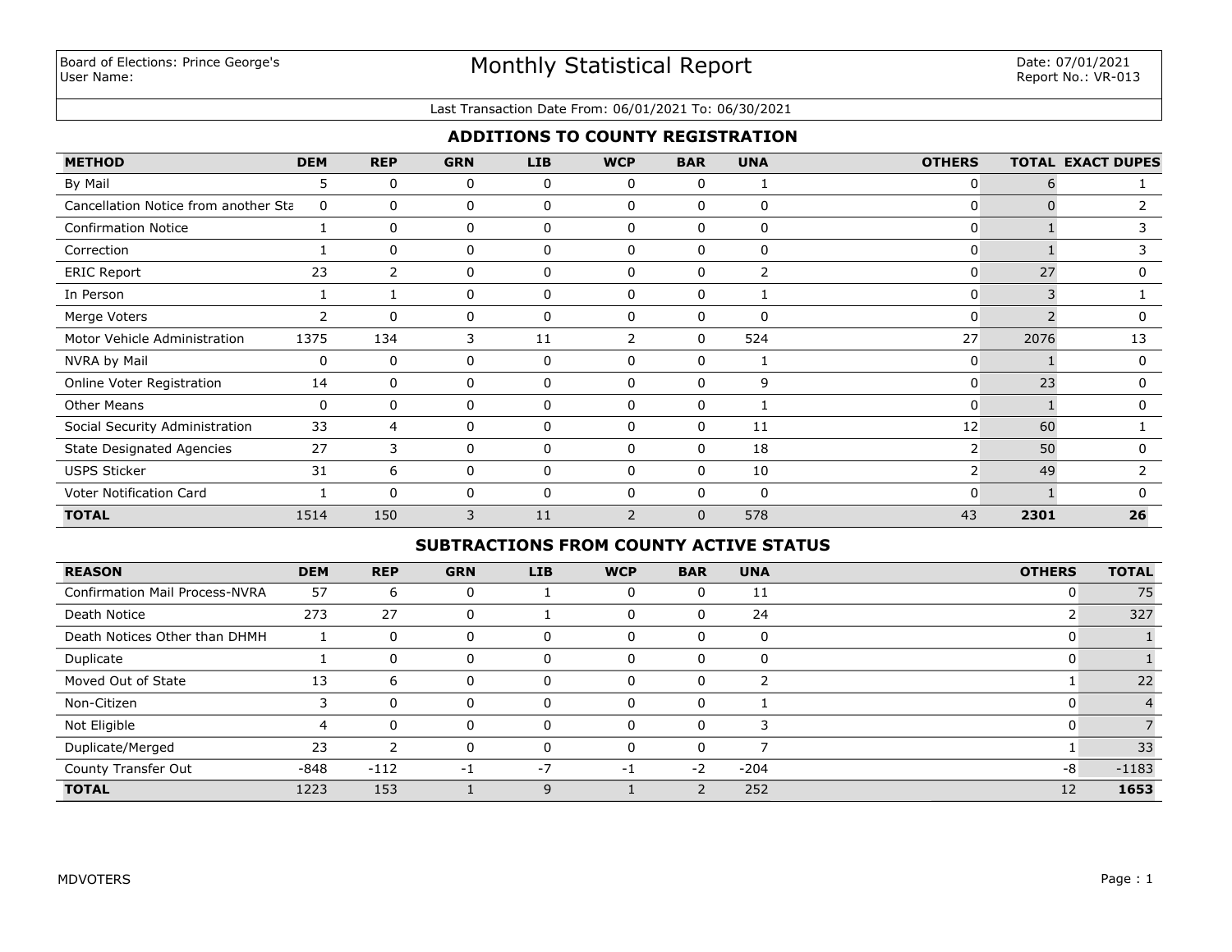### Last Transaction Date From: 06/01/2021 To: 06/30/2021

## **ADDITIONS TO COUNTY REGISTRATION**

| <b>METHOD</b>                        | <b>DEM</b>     | <b>REP</b>     | <b>GRN</b> | LIB          | <b>WCP</b>    | <b>BAR</b>  | <b>UNA</b>   | <b>OTHERS</b>  |      | <b>TOTAL EXACT DUPES</b> |
|--------------------------------------|----------------|----------------|------------|--------------|---------------|-------------|--------------|----------------|------|--------------------------|
| By Mail                              | 5              | $\Omega$       | 0          | 0            | $\mathbf{0}$  | $\Omega$    |              | 0              | b    |                          |
| Cancellation Notice from another Sta | 0              | $\Omega$       | 0          | 0            | $\Omega$      | $\Omega$    | 0            | 0              |      |                          |
| <b>Confirmation Notice</b>           |                | 0              | 0          | 0            | $\Omega$      | 0           | $\mathbf{0}$ | 0              |      |                          |
| Correction                           |                | $\Omega$       | 0          | 0            | $\Omega$      | $\Omega$    | 0            | 0              |      |                          |
| <b>ERIC Report</b>                   | 23             | $\overline{2}$ | 0          | 0            | 0             | 0           | 2            | 0              | 27   | 0                        |
| In Person                            |                |                | 0          | 0            | $\mathbf{0}$  | $\Omega$    | $\mathbf{1}$ | 0              | 3    |                          |
| Merge Voters                         | $\overline{2}$ | $\Omega$       | 0          | 0            | $\Omega$      | 0           | $\mathbf 0$  | $\Omega$       |      | 0                        |
| Motor Vehicle Administration         | 1375           | 134            | 3          | 11           |               | 0           | 524          | 27             | 2076 | 13                       |
| NVRA by Mail                         | 0              | $\mathbf{0}$   | 0          | 0            | $\Omega$      | $\Omega$    | 1            | 0              |      | 0                        |
| Online Voter Registration            | 14             | 0              | 0          | 0            | $\Omega$      | $\Omega$    | 9            | 0              | 23   | $\Omega$                 |
| <b>Other Means</b>                   | 0              | 0              | 0          | 0            | $\Omega$      | $\Omega$    |              |                |      | 0                        |
| Social Security Administration       | 33             | 4              | 0          | 0            | $\Omega$      | $\Omega$    | 11           | 12             | 60   |                          |
| <b>State Designated Agencies</b>     | 27             | 3              | 0          | 0            | 0             | $\Omega$    | 18           | $\overline{2}$ | 50   | 0                        |
| <b>USPS Sticker</b>                  | 31             | 6              | 0          | 0            | 0             | 0           | 10           | $\overline{2}$ | 49   |                          |
| Voter Notification Card              |                | $\Omega$       | 0          | $\mathbf{0}$ | $\Omega$      | $\Omega$    | $\Omega$     | O              |      | <sup>0</sup>             |
| <b>TOTAL</b>                         | 1514           | 150            | 3          | 11           | $\mathcal{P}$ | $\mathbf 0$ | 578          | 43             | 2301 | 26                       |

## **SUBTRACTIONS FROM COUNTY ACTIVE STATUS**

| <b>REASON</b>                         | <b>DEM</b> | <b>REP</b> | <b>GRN</b> | <b>LIB</b> | <b>WCP</b> | <b>BAR</b> | <b>UNA</b> | <b>OTHERS</b> | <b>TOTAL</b> |
|---------------------------------------|------------|------------|------------|------------|------------|------------|------------|---------------|--------------|
| <b>Confirmation Mail Process-NVRA</b> | 57         | 6          | 0          |            | $\Omega$   | 0          | 11         |               | 75           |
| Death Notice                          | 273        | 27         | 0          |            | $\Omega$   | 0          | 24         |               | 327          |
| Death Notices Other than DHMH         |            | 0          | 0          |            | $\Omega$   | $\Omega$   | 0          |               |              |
| Duplicate                             |            | 0          |            |            | $\Omega$   | 0          | $\Omega$   |               |              |
| Moved Out of State                    | 13         | 6          |            |            | $\Omega$   | 0          |            |               | 22           |
| Non-Citizen                           |            | $\Omega$   |            |            |            | 0          |            |               |              |
| Not Eligible                          | 4          | 0          |            |            | $\Omega$   | 0          | 3          |               |              |
| Duplicate/Merged                      | 23         | っ          |            |            | $\Omega$   | $\Omega$   |            |               | 33           |
| County Transfer Out                   | $-848$     | $-112$     | -1         | $-7$       | $-1$       | $-2$       | $-204$     | $-8$          | $-1183$      |
| <b>TOTAL</b>                          | 1223       | 153        |            |            |            |            | 252        | 12            | 1653         |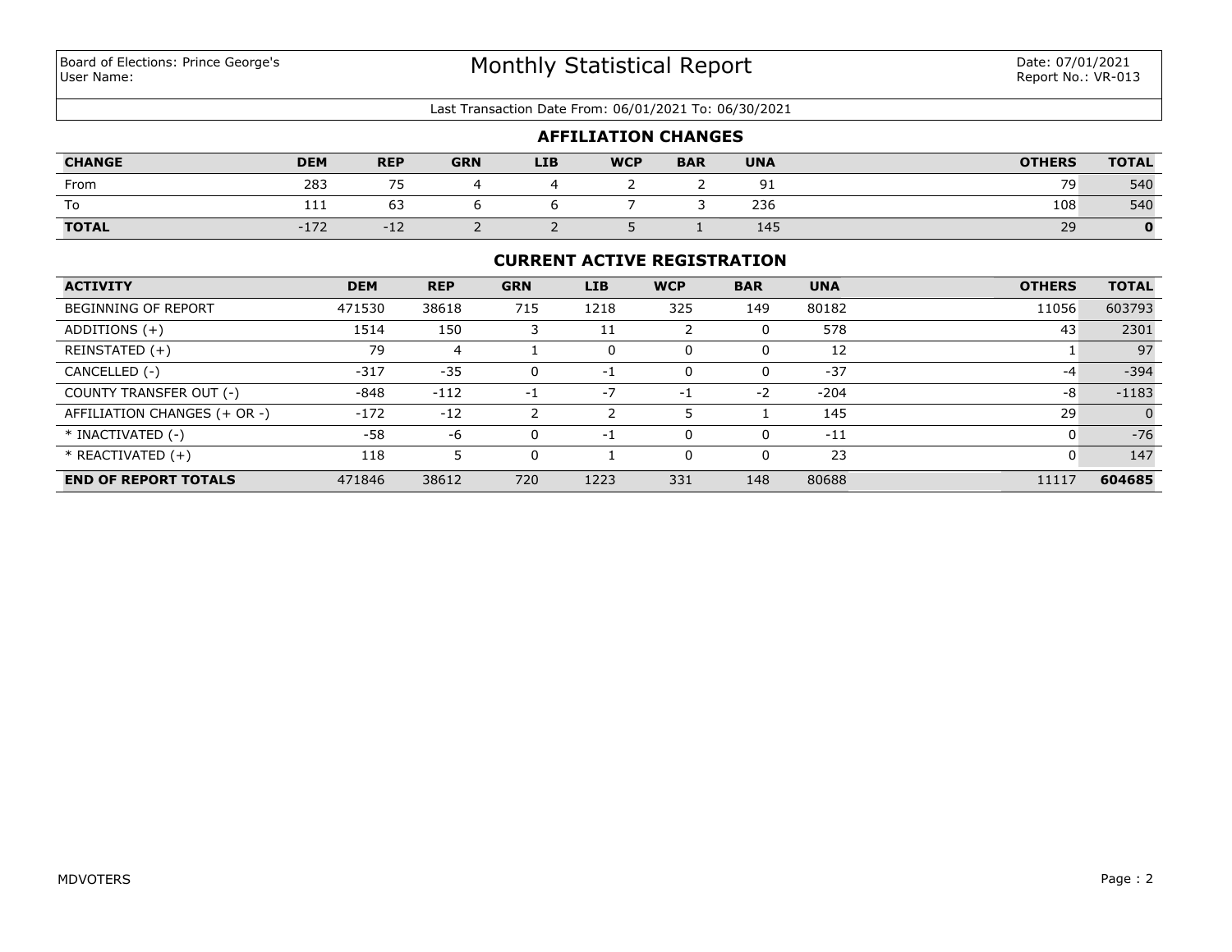#### Last Transaction Date From: 06/01/2021 To: 06/30/2021

| <b>AFFILIATION CHANGES</b> |            |                |            |            |            |            |            |               |              |
|----------------------------|------------|----------------|------------|------------|------------|------------|------------|---------------|--------------|
| <b>CHANGE</b>              | <b>DEM</b> | <b>REP</b>     | <b>GRN</b> | <b>LIB</b> | <b>WCP</b> | <b>BAR</b> | <b>UNA</b> | <b>OTHERS</b> | <b>TOTAL</b> |
| From                       | 283        | 7 <sub>F</sub> |            |            |            |            | 91         | 79            | 540          |
| To                         | 111        | 63             |            |            |            |            | 236        | 108           | 540          |
| <b>TOTAL</b>               | $-172$     | $-12$          |            |            |            |            | 145        | 29            | 0            |

## **CURRENT ACTIVE REGISTRATION**

| <b>ACTIVITY</b>              | <b>DEM</b> | <b>REP</b> | <b>GRN</b> | LIB  | <b>WCP</b> | <b>BAR</b> | <b>UNA</b> | <b>OTHERS</b> | <b>TOTAL</b> |
|------------------------------|------------|------------|------------|------|------------|------------|------------|---------------|--------------|
| <b>BEGINNING OF REPORT</b>   | 471530     | 38618      | 715        | 1218 | 325        | 149        | 80182      | 11056         | 603793       |
| ADDITIONS $(+)$              | 1514       | 150        |            | 11   |            |            | 578        | 43            | 2301         |
| REINSTATED (+)               | 79         | 4          |            | 0    |            |            | 12         |               | 97           |
| CANCELLED (-)                | $-317$     | $-35$      | 0          | -1   |            |            | $-37$      | $-4$          | $-394$       |
| COUNTY TRANSFER OUT (-)      | $-848$     | $-112$     | -1         | $-7$ | $-1$       | $-2$       | $-204$     | -8            | $-1183$      |
| AFFILIATION CHANGES (+ OR -) | $-172$     | $-12$      |            |      |            |            | 145        | 29            |              |
| * INACTIVATED (-)            | -58        | -6         | 0          | -1   |            |            | $-11$      | 0             | $-76$        |
| $*$ REACTIVATED $(+)$        | 118        |            | 0          |      |            | $\Omega$   | 23         | 0             | 147          |
| <b>END OF REPORT TOTALS</b>  | 471846     | 38612      | 720        | 1223 | 331        | 148        | 80688      | 11117         | 604685       |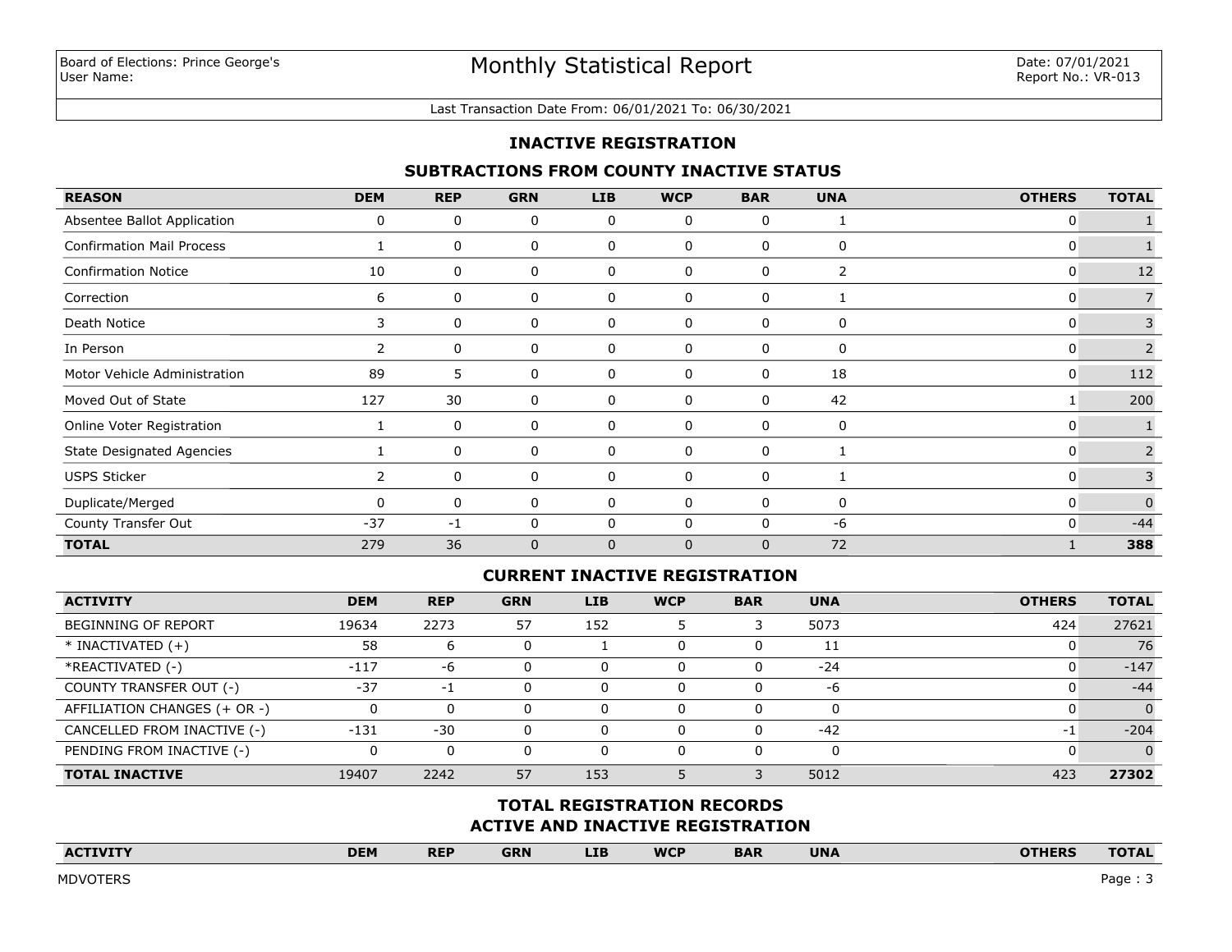#### Last Transaction Date From: 06/01/2021 To: 06/30/2021

### **INACTIVE REGISTRATION**

### **SUBTRACTIONS FROM COUNTY INACTIVE STATUS**

| <b>REASON</b>                    | <b>DEM</b>            | <b>REP</b> | <b>GRN</b>   | LIB          | <b>WCP</b>   | <b>BAR</b>   | <b>UNA</b> | <b>OTHERS</b> | <b>TOTAL</b>   |
|----------------------------------|-----------------------|------------|--------------|--------------|--------------|--------------|------------|---------------|----------------|
| Absentee Ballot Application      | 0                     | 0          | 0            | 0            | 0            | 0            |            | 0             |                |
| <b>Confirmation Mail Process</b> |                       | 0          | 0            | 0            | 0            | 0            | 0          | 0             |                |
| <b>Confirmation Notice</b>       | 10                    | 0          | 0            | 0            | 0            | 0            | 2          | 0             | 12             |
| Correction                       | 6                     | 0          | 0            | 0            | 0            | 0            |            | 0             |                |
| Death Notice                     | 3                     | 0          | 0            | 0            | 0            | 0            | 0          | 0             |                |
| In Person                        | $\mathbf{2}^{\prime}$ | 0          | 0            | 0            | 0            | $\mathbf{0}$ | 0          | 0             | $\overline{2}$ |
| Motor Vehicle Administration     | 89                    | 5          | 0            | 0            | 0            | 0            | 18         | 0             | 112            |
| Moved Out of State               | 127                   | 30         | 0            | 0            | 0            | $\Omega$     | 42         |               | 200            |
| Online Voter Registration        |                       | 0          | 0            | 0            | 0            | $\Omega$     | 0          | 0             |                |
| <b>State Designated Agencies</b> |                       | 0          | 0            | 0            | 0            | 0            |            | 0             |                |
| <b>USPS Sticker</b>              | $\overline{2}$        | 0          | 0            | 0            | 0            | $\Omega$     |            | 0             | 3              |
| Duplicate/Merged                 |                       | 0          | 0            | 0            | 0            | 0            | 0          | 0             | $\mathbf 0$    |
| County Transfer Out              | $-37$                 | $-1$       | 0            | 0            | 0            | $\mathbf{0}$ | -6         | 0             | $-44$          |
| <b>TOTAL</b>                     | 279                   | 36         | $\mathbf{0}$ | $\mathbf{0}$ | $\mathbf{0}$ | $\mathbf{0}$ | 72         |               | 388            |

## **CURRENT INACTIVE REGISTRATION**

| <b>ACTIVITY</b>              | <b>DEM</b> | <b>REP</b> | <b>GRN</b> | <b>LIB</b> | <b>WCP</b> | <b>BAR</b> | <b>UNA</b> | <b>OTHERS</b> | <b>TOTAL</b> |
|------------------------------|------------|------------|------------|------------|------------|------------|------------|---------------|--------------|
| <b>BEGINNING OF REPORT</b>   | 19634      | 2273       | 57         | 152        |            |            | 5073       | 424           | 27621        |
| $*$ INACTIVATED $(+)$        | 58         | b          |            |            | υ          |            | 11         |               | 76           |
| *REACTIVATED (-)             | $-117$     | -6         |            |            | 0          |            | $-24$      |               | $-147$       |
| COUNTY TRANSFER OUT (-)      | $-37$      | د -        |            |            | 0          |            | -6         |               | $-44$        |
| AFFILIATION CHANGES (+ OR -) |            |            |            |            | 0          |            | 0          |               |              |
| CANCELLED FROM INACTIVE (-)  | $-131$     | $-30$      |            |            | 0          |            | $-42$      | د -           | $-204$       |
| PENDING FROM INACTIVE (-)    |            | 0          |            |            | 0          |            | 0          |               |              |
| <b>TOTAL INACTIVE</b>        | 19407      | 2242       | 57         | 153        |            |            | 5012       | 423           | 27302        |

# **ACTIVE AND INACTIVE REGISTRATION TOTAL REGISTRATION RECORDS**

| <b>ACTIVITY</b> | <b>DEM</b> | <b>REP</b> | <b>GRN</b> | <b>LIB</b> | <b>WCP</b> | <b>BAR</b> | <b>UNA</b> | <b>OTHERS</b> | <b>TOTAL</b> |
|-----------------|------------|------------|------------|------------|------------|------------|------------|---------------|--------------|
|                 |            |            |            |            |            |            |            |               |              |